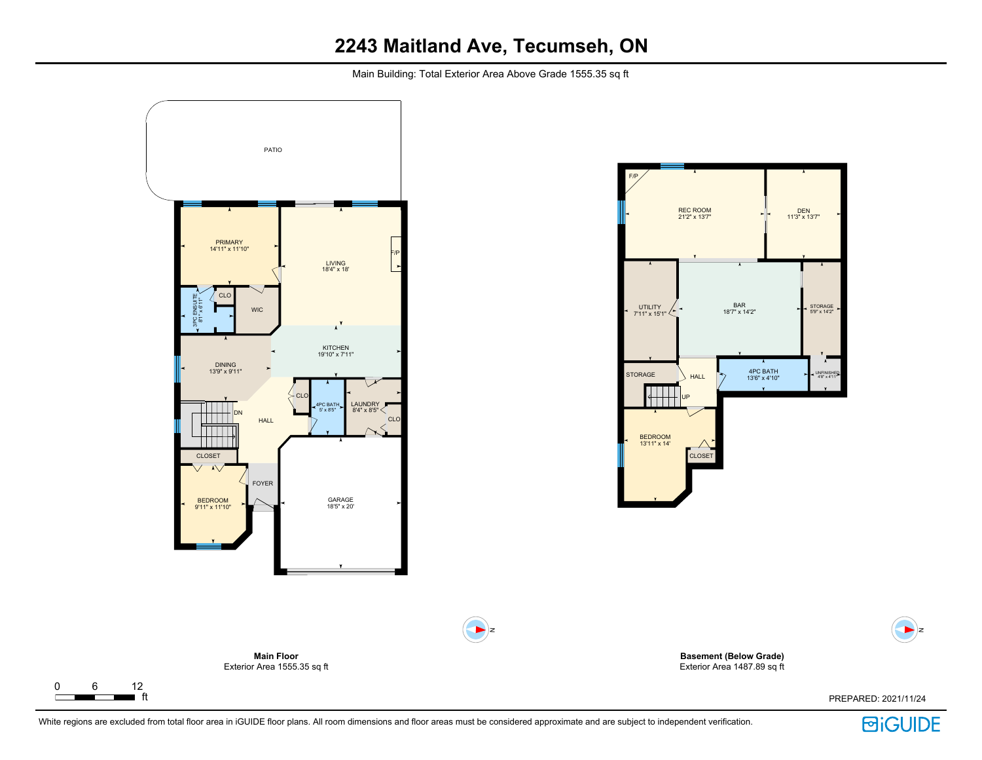Main Building: Total Exterior Area Above Grade 1555.35 sq ft



White regions are excluded from total floor area in iGUIDE floor plans. All room dimensions and floor areas must be considered approximate and are subject to independent verification.

 $\Gamma$ 

**回iGUIDE** 

PREPARED: 2021/11/24

 $\blacktriangleright$   $z$ 

STORAGE 5'9" x 14'2"

DEN 11'3" x 13'7"

4'8" x 4'11"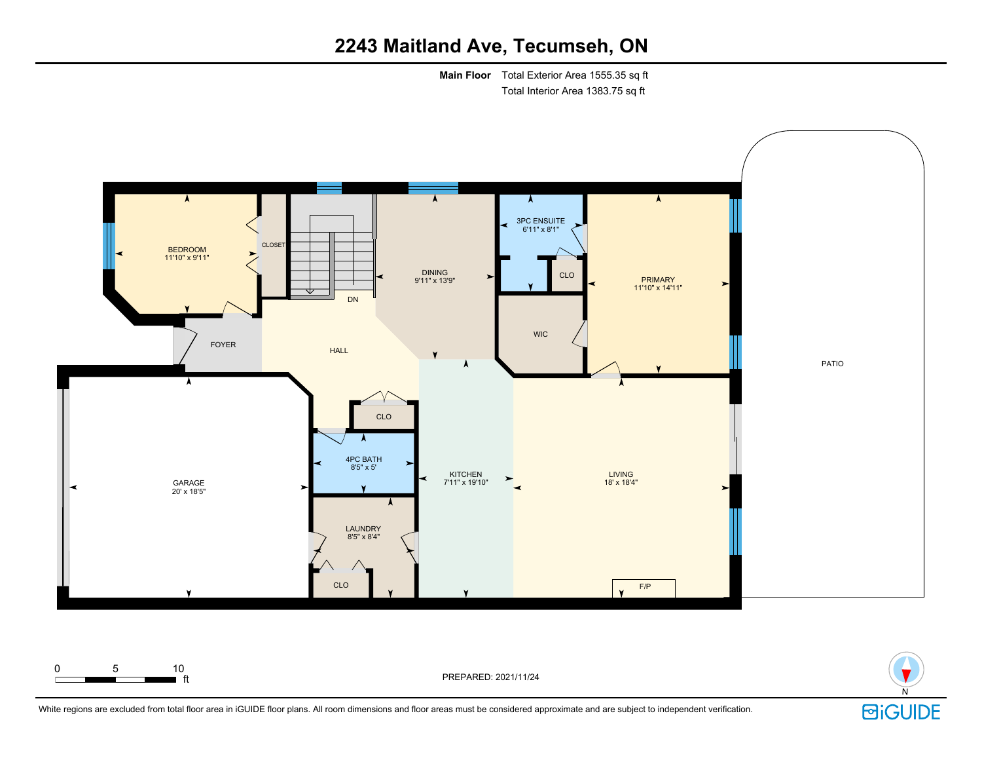# **2243 Maitland Ave, Tecumseh, ON**

**Main Floor** Total Exterior Area 1555.35 sq ft Total Interior Area 1383.75 sq ft



0 5 10

ft PREPARED: 2021/11/24

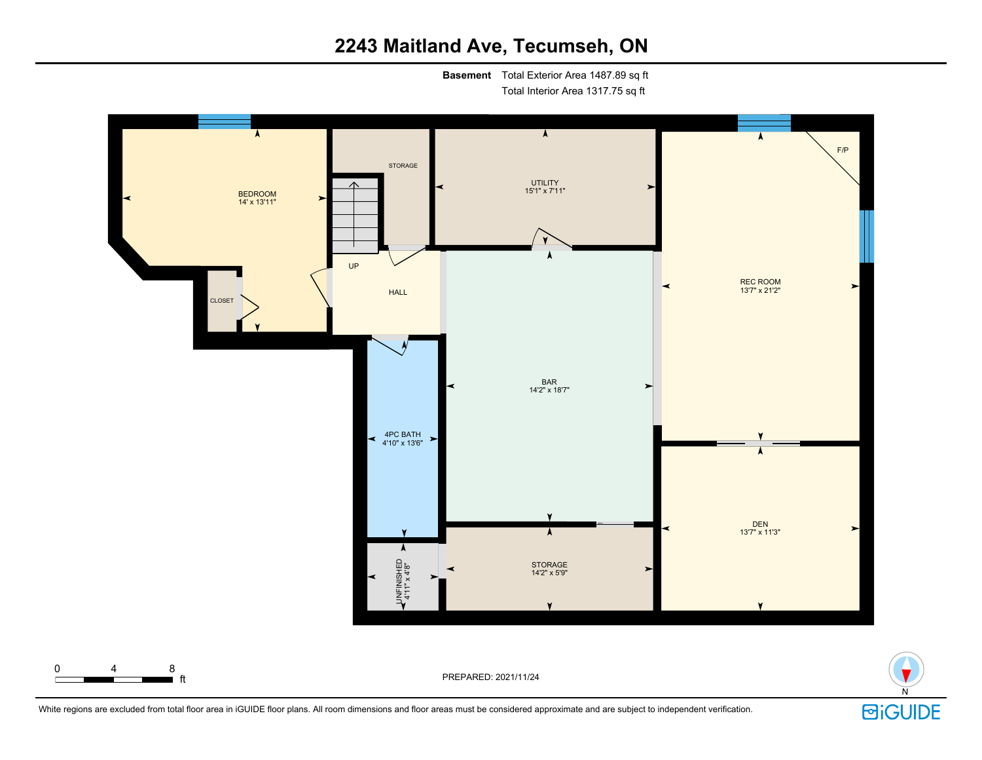# **2243 Maitland Ave, Tecumseh, ON**

**Basement** Total Exterior Area 1487.89 sq ft Total Interior Area 1317.75 sq ft





 $\blacksquare$  ft  $\blacksquare$ 

0 4 8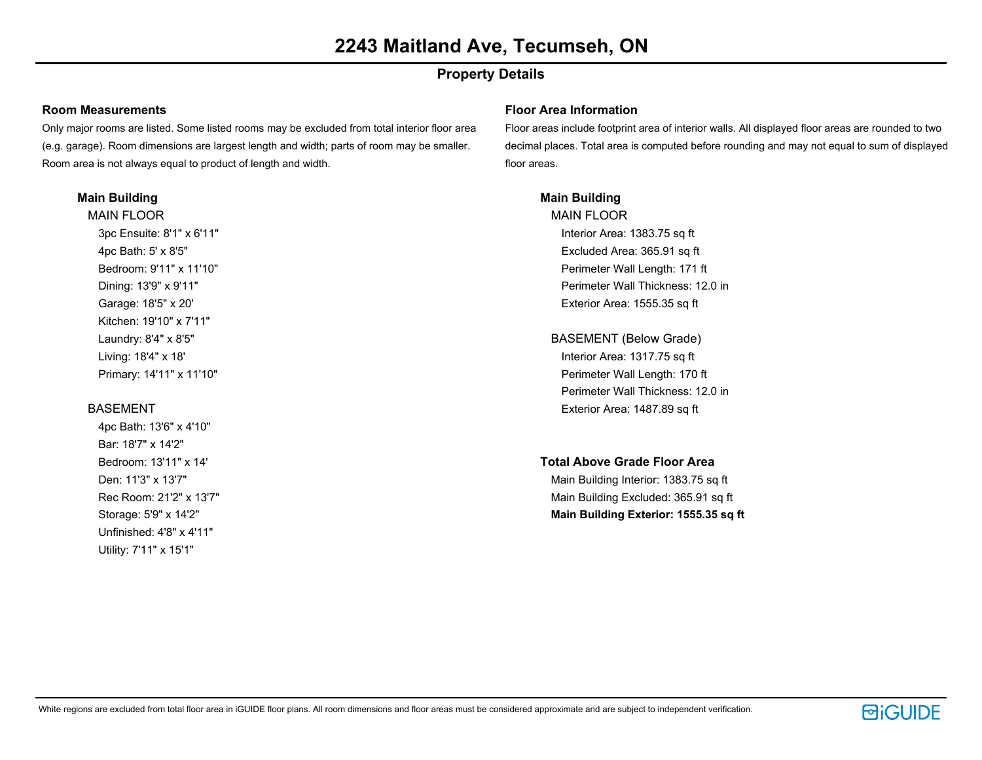### **Property Details**

#### **Room Measurements**

Only major rooms are listed. Some listed rooms may be excluded from total interior floor area (e.g. garage). Room dimensions are largest length and width; parts of room may be smaller. Room area is not always equal to product of length and width.

#### **Main Building**

MAIN FLOOR 3pc Ensuite: 8'1" x 6'11" 4pc Bath: 5' x 8'5" Bedroom: 9'11" x 11'10" Dining: 13'9" x 9'11" Garage: 18'5" x 20' Kitchen: 19'10" x 7'11" Laundry: 8'4" x 8'5" Living: 18'4" x 18' Primary: 14'11" x 11'10"

#### BASEMENT

4pc Bath: 13'6" x 4'10" Bar: 18'7" x 14'2" Bedroom: 13'11" x 14' Den: 11'3" x 13'7" Rec Room: 21'2" x 13'7" Storage: 5'9" x 14'2" Unfinished: 4'8" x 4'11" Utility: 7'11" x 15'1"

#### **Floor Area Information**

Floor areas include footprint area of interior walls. All displayed floor areas are rounded to two decimal places. Total area is computed before rounding and may not equal to sum of displayed floor areas.

#### **Main Building**

MAIN FLOOR Interior Area: 1383.75 sq ft Excluded Area: 365.91 sq ft Perimeter Wall Length: 171 ft Perimeter Wall Thickness: 12.0 in Exterior Area: 1555.35 sq ft

- BASEMENT (Below Grade) Interior Area: 1317.75 sq ft Perimeter Wall Length: 170 ft Perimeter Wall Thickness: 12.0 in Exterior Area: 1487.89 sq ft
- **Total Above Grade Floor Area**

Main Building Interior: 1383.75 sq ft Main Building Excluded: 365.91 sq ft **Main Building Exterior: 1555.35 sq ft**